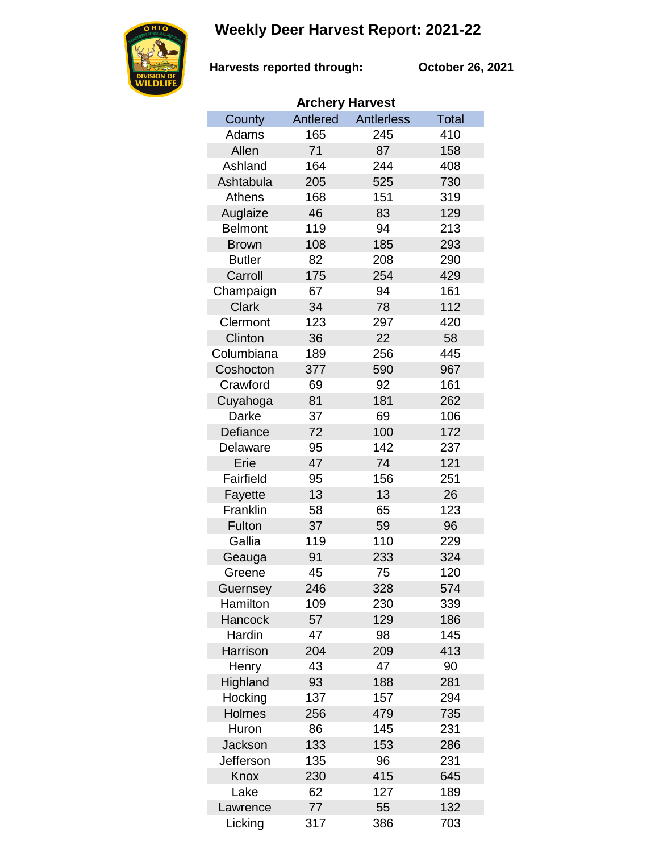## **Weekly Deer Harvest Report: 2021-22**



**Harvests reported through: October 26, 2021**

| <b>Archery Harvest</b> |          |                   |              |  |  |
|------------------------|----------|-------------------|--------------|--|--|
| County                 | Antlered | <b>Antlerless</b> | <b>Total</b> |  |  |
| Adams                  | 165      | 245               | 410          |  |  |
| Allen                  | 71       | 87                | 158          |  |  |
| Ashland                | 164      | 244               | 408          |  |  |
| Ashtabula              | 205      | 525               | 730          |  |  |
| <b>Athens</b>          | 168      | 151               | 319          |  |  |
| Auglaize               | 46       | 83                | 129          |  |  |
| <b>Belmont</b>         | 119      | 94                | 213          |  |  |
| <b>Brown</b>           | 108      | 185               | 293          |  |  |
| <b>Butler</b>          | 82       | 208               | 290          |  |  |
| Carroll                | 175      | 254               | 429          |  |  |
| Champaign              | 67       | 94                | 161          |  |  |
| <b>Clark</b>           | 34       | 78                | 112          |  |  |
| Clermont               | 123      | 297               | 420          |  |  |
| Clinton                | 36       | 22                | 58           |  |  |
| Columbiana             | 189      | 256               | 445          |  |  |
| Coshocton              | 377      | 590               | 967          |  |  |
| Crawford               | 69       | 92                | 161          |  |  |
| Cuyahoga               | 81       | 181               | 262          |  |  |
| Darke                  | 37       | 69                | 106          |  |  |
| Defiance               | 72       | 100               | 172          |  |  |
| Delaware               | 95       | 142               | 237          |  |  |
| Erie                   | 47       | 74                | 121          |  |  |
| Fairfield              | 95       | 156               | 251          |  |  |
| Fayette                | 13       | 13                | 26           |  |  |
| Franklin               | 58       | 65                | 123          |  |  |
| Fulton                 | 37       | 59                | 96           |  |  |
| Gallia                 | 119      | 110               | 229          |  |  |
| Geauga                 | 91       | 233               | 324          |  |  |
| Greene                 | 45       | 75                | 120          |  |  |
| Guernsey               | 246      | 328               | 574          |  |  |
| Hamilton               | 109      | 230               | 339          |  |  |
| Hancock                | 57       | 129               | 186          |  |  |
| Hardin                 | 47       | 98                | 145          |  |  |
| Harrison               | 204      | 209               | 413          |  |  |
| Henry                  | 43       | 47                | 90           |  |  |
| Highland               | 93       | 188               | 281          |  |  |
| Hocking                | 137      | 157               | 294          |  |  |
| Holmes                 | 256      | 479               | 735          |  |  |
| Huron                  | 86       | 145               | 231          |  |  |
| Jackson                | 133      | 153               | 286          |  |  |
| Jefferson              | 135      | 96                | 231          |  |  |
| Knox                   | 230      | 415               | 645          |  |  |
| Lake                   | 62       | 127               | 189          |  |  |
| Lawrence               | 77       | 55                | 132          |  |  |
| Licking                | 317      | 386               | 703          |  |  |